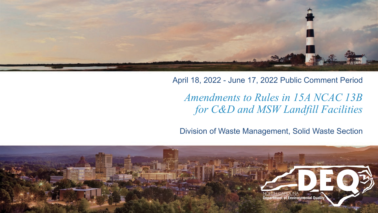

#### April 18, 2022 - June 17, 2022 Public Comment Period

#### *Amendments to Rules in 15A NCAC 13B for C&D and MSW Landfill Facilities*

Division of Waste Management, Solid Waste Section

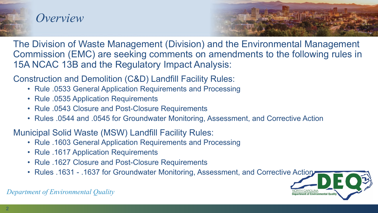

#### *Overview*



The Division of Waste Management (Division) and the Environmental Management Commission (EMC) are seeking comments on amendments to the following rules in 15A NCAC 13B and the Regulatory Impact Analysis:

Construction and Demolition (C&D) Landfill Facility Rules:

- Rule .0533 General Application Requirements and Processing
- Rule .0535 Application Requirements
- Rule .0543 Closure and Post-Closure Requirements
- Rules .0544 and .0545 for Groundwater Monitoring, Assessment, and Corrective Action

Municipal Solid Waste (MSW) Landfill Facility Rules:

- Rule .1603 General Application Requirements and Processing
- Rule .1617 Application Requirements
- Rule .1627 Closure and Post-Closure Requirements
- Rules .1631 .1637 for Groundwater Monitoring, Assessment, and Corrective Action

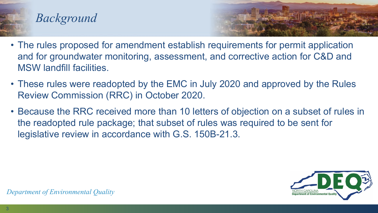

#### *Background*



- The rules proposed for amendment establish requirements for permit application and for groundwater monitoring, assessment, and corrective action for C&D and MSW landfill facilities.
- These rules were readopted by the EMC in July 2020 and approved by the Rules Review Commission (RRC) in October 2020.
- Because the RRC received more than 10 letters of objection on a subset of rules in the readopted rule package; that subset of rules was required to be sent for legislative review in accordance with G.S. 150B-21.3.

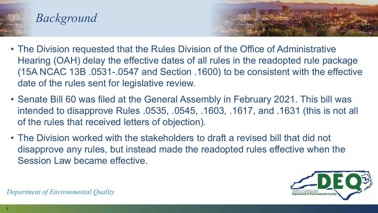





- The Division requested that the Rules Division of the Office of Administrative Hearing (OAH) delay the effective dates of all rules in the readopted rule package (15A NCAC 13B .0531-.0547 and Section .1600) to be consistent with the effective date of the rules sent for legislative review.
- Senate Bill 60 was filed at the General Assembly in February 2021. This bill was intended to disapprove Rules .0535, .0545, .1603, .1617, and .1631 (this is not all of the rules that received letters of objection).
- The Division worked with the stakeholders to draft a revised bill that did not disapprove any rules, but instead made the readopted rules effective when the Session Law became effective.

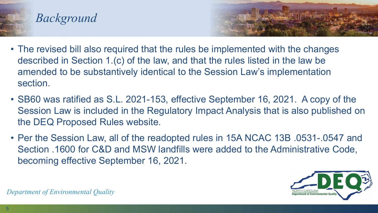





- The revised bill also required that the rules be implemented with the changes described in Section 1.(c) of the law, and that the rules listed in the law be amended to be substantively identical to the Session Law's implementation section.
- SB60 was ratified as S.L. 2021-153, effective September 16, 2021. A copy of the Session Law is included in the Regulatory Impact Analysis that is also published on the DEQ Proposed Rules website.
- Per the Session Law, all of the readopted rules in 15A NCAC 13B .0531-.0547 and Section .1600 for C&D and MSW landfills were added to the Administrative Code, becoming effective September 16, 2021.

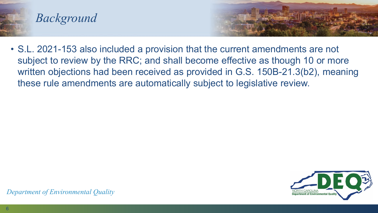





• S.L. 2021-153 also included a provision that the current amendments are not subject to review by the RRC; and shall become effective as though 10 or more written objections had been received as provided in G.S. 150B-21.3(b2), meaning these rule amendments are automatically subject to legislative review.

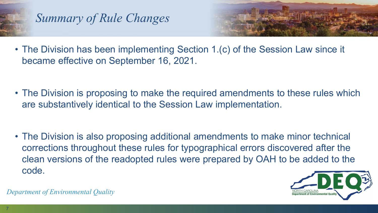

## *Summary of Rule Changes*



- The Division has been implementing Section 1.(c) of the Session Law since it became effective on September 16, 2021.
- The Division is proposing to make the required amendments to these rules which are substantively identical to the Session Law implementation.
- The Division is also proposing additional amendments to make minor technical corrections throughout these rules for typographical errors discovered after the clean versions of the readopted rules were prepared by OAH to be added to the code.

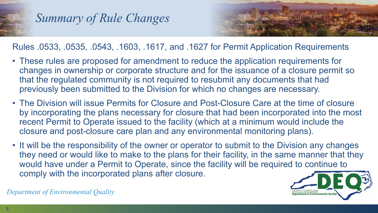

#### *Summary of Rule Changes*



Rules .0533, .0535, .0543, .1603, .1617, and .1627 for Permit Application Requirements

- These rules are proposed for amendment to reduce the application requirements for changes in ownership or corporate structure and for the issuance of a closure permit so that the regulated community is not required to resubmit any documents that had previously been submitted to the Division for which no changes are necessary.
- The Division will issue Permits for Closure and Post-Closure Care at the time of closure by incorporating the plans necessary for closure that had been incorporated into the most recent Permit to Operate issued to the facility (which at a minimum would include the closure and post-closure care plan and any environmental monitoring plans).
- It will be the responsibility of the owner or operator to submit to the Division any changes they need or would like to make to the plans for their facility, in the same manner that they would have under a Permit to Operate, since the facility will be required to continue to comply with the incorporated plans after closure.

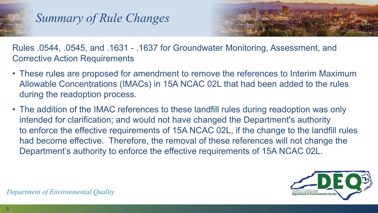

## *Summary of Rule Changes*



Rules .0544, .0545, and .1631 - .1637 for Groundwater Monitoring, Assessment, and Corrective Action Requirements

- These rules are proposed for amendment to remove the references to Interim Maximum Allowable Concentrations (IMACs) in 15A NCAC 02L that had been added to the rules during the readoption process.
- The addition of the IMAC references to these landfill rules during readoption was only intended for clarification; and would not have changed the Department's authority to enforce the effective requirements of 15A NCAC 02L, if the change to the landfill rules had become effective. Therefore, the removal of these references will not change the Department's authority to enforce the effective requirements of 15A NCAC 02L.

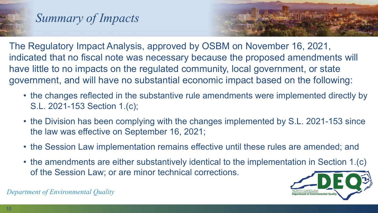

### *Summary of Impacts*



The Regulatory Impact Analysis, approved by OSBM on November 16, 2021, indicated that no fiscal note was necessary because the proposed amendments will have little to no impacts on the regulated community, local government, or state government, and will have no substantial economic impact based on the following:

- the changes reflected in the substantive rule amendments were implemented directly by S.L. 2021-153 Section 1.(c);
- the Division has been complying with the changes implemented by S.L. 2021-153 since the law was effective on September 16, 2021;
- the Session Law implementation remains effective until these rules are amended; and
- the amendments are either substantively identical to the implementation in Section 1.(c) of the Session Law; or are minor technical corrections.

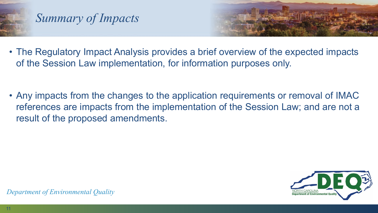

## *Summary of Impacts*



- The Regulatory Impact Analysis provides a brief overview of the expected impacts of the Session Law implementation, for information purposes only.
- Any impacts from the changes to the application requirements or removal of IMAC references are impacts from the implementation of the Session Law; and are not a result of the proposed amendments.

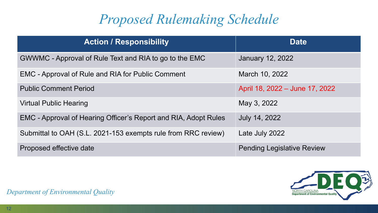# *Proposed Rulemaking Schedule*

| <b>Action / Responsibility</b>                                  | <b>Date</b>                       |
|-----------------------------------------------------------------|-----------------------------------|
| GWWMC - Approval of Rule Text and RIA to go to the EMC          | <b>January 12, 2022</b>           |
| EMC - Approval of Rule and RIA for Public Comment               | March 10, 2022                    |
| <b>Public Comment Period</b>                                    | April 18, 2022 - June 17, 2022    |
| <b>Virtual Public Hearing</b>                                   | May 3, 2022                       |
| EMC - Approval of Hearing Officer's Report and RIA, Adopt Rules | July 14, 2022                     |
| Submittal to OAH (S.L. 2021-153 exempts rule from RRC review)   | Late July 2022                    |
| Proposed effective date                                         | <b>Pending Legislative Review</b> |